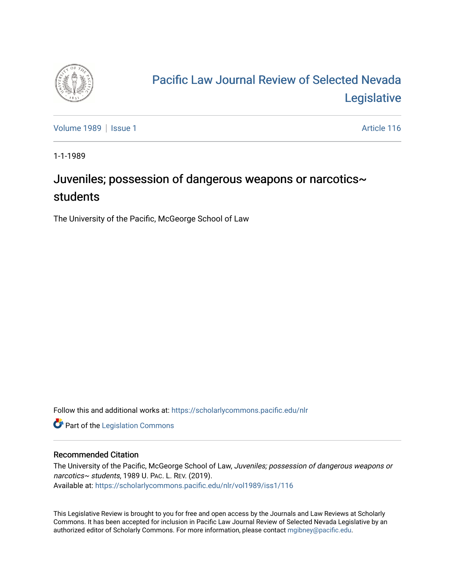

## [Pacific Law Journal Review of Selected Nevada](https://scholarlycommons.pacific.edu/nlr)  [Legislative](https://scholarlycommons.pacific.edu/nlr)

[Volume 1989](https://scholarlycommons.pacific.edu/nlr/vol1989) | [Issue 1](https://scholarlycommons.pacific.edu/nlr/vol1989/iss1) Article 116

1-1-1989

## Juveniles; possession of dangerous weapons or narcotics~ students

The University of the Pacific, McGeorge School of Law

Follow this and additional works at: [https://scholarlycommons.pacific.edu/nlr](https://scholarlycommons.pacific.edu/nlr?utm_source=scholarlycommons.pacific.edu%2Fnlr%2Fvol1989%2Fiss1%2F116&utm_medium=PDF&utm_campaign=PDFCoverPages) 

**Part of the [Legislation Commons](http://network.bepress.com/hgg/discipline/859?utm_source=scholarlycommons.pacific.edu%2Fnlr%2Fvol1989%2Fiss1%2F116&utm_medium=PDF&utm_campaign=PDFCoverPages)** 

## Recommended Citation

The University of the Pacific, McGeorge School of Law, Juveniles; possession of dangerous weapons or narcotics~ students, 1989 U. PAC. L. REV. (2019). Available at: [https://scholarlycommons.pacific.edu/nlr/vol1989/iss1/116](https://scholarlycommons.pacific.edu/nlr/vol1989/iss1/116?utm_source=scholarlycommons.pacific.edu%2Fnlr%2Fvol1989%2Fiss1%2F116&utm_medium=PDF&utm_campaign=PDFCoverPages) 

This Legislative Review is brought to you for free and open access by the Journals and Law Reviews at Scholarly Commons. It has been accepted for inclusion in Pacific Law Journal Review of Selected Nevada Legislative by an authorized editor of Scholarly Commons. For more information, please contact [mgibney@pacific.edu](mailto:mgibney@pacific.edu).